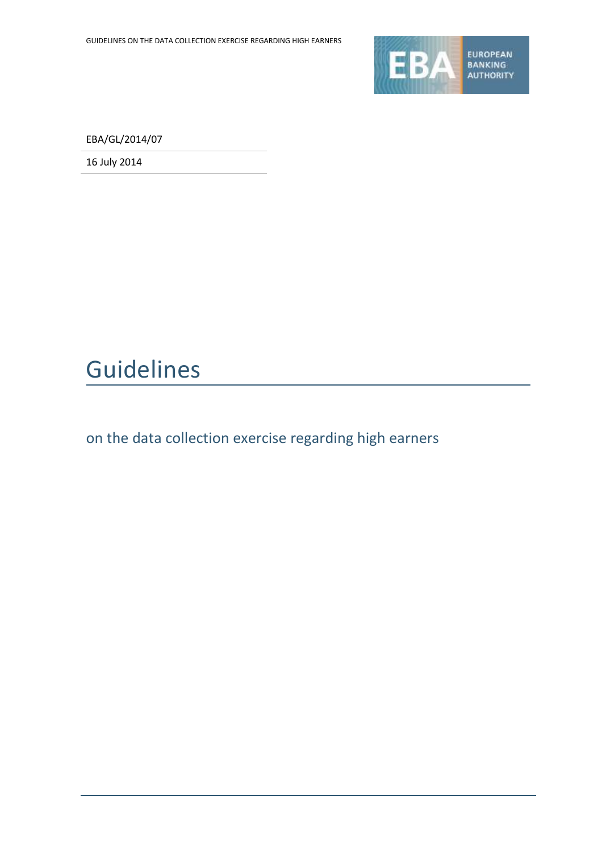

EBA/GL/2014/07

16 July 2014

# Guidelines

on the data collection exercise regarding high earners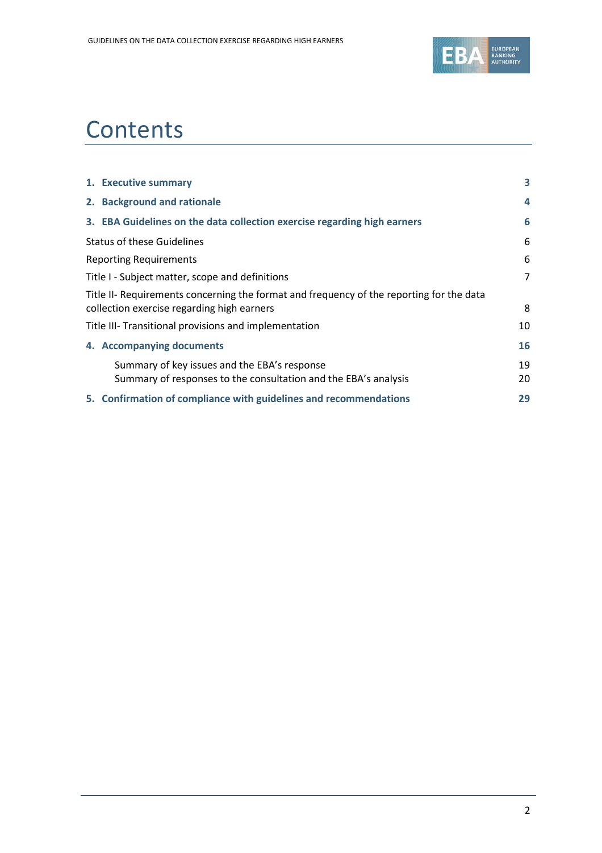

# **Contents**

| 1. Executive summary                                                                     | 3              |
|------------------------------------------------------------------------------------------|----------------|
| 2. Background and rationale                                                              | 4              |
| 3. EBA Guidelines on the data collection exercise regarding high earners                 | 6              |
| <b>Status of these Guidelines</b>                                                        | 6              |
| <b>Reporting Requirements</b>                                                            | 6              |
| Title I - Subject matter, scope and definitions                                          | $\overline{7}$ |
| Title II- Requirements concerning the format and frequency of the reporting for the data |                |
| collection exercise regarding high earners                                               | 8              |
| Title III- Transitional provisions and implementation                                    | 10             |
| 4. Accompanying documents                                                                | 16             |
| Summary of key issues and the EBA's response                                             | 19             |
| Summary of responses to the consultation and the EBA's analysis                          | 20             |
| 5. Confirmation of compliance with guidelines and recommendations                        | 29             |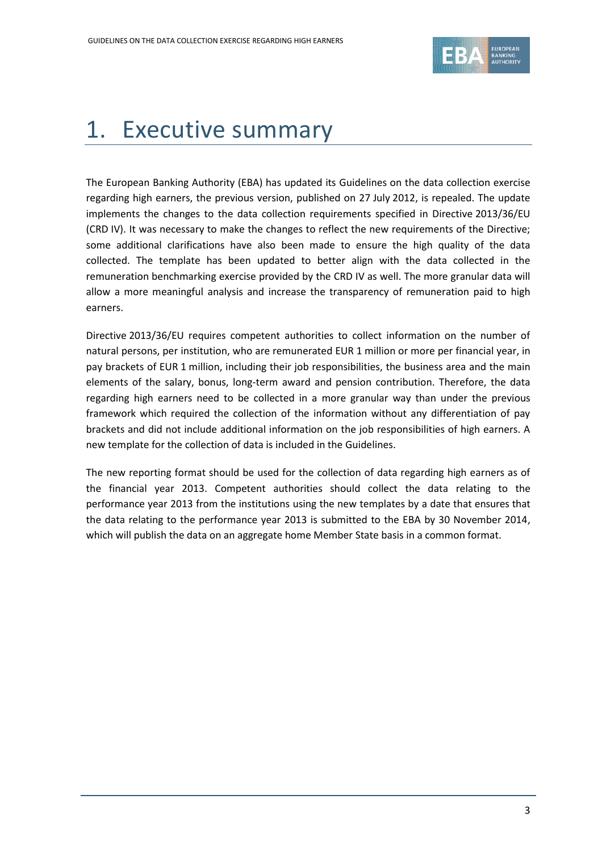

# 1. Executive summary

The European Banking Authority (EBA) has updated its Guidelines on the data collection exercise regarding high earners, the previous version, published on 27 July 2012, is repealed. The update implements the changes to the data collection requirements specified in Directive 2013/36/EU (CRD IV). It was necessary to make the changes to reflect the new requirements of the Directive; some additional clarifications have also been made to ensure the high quality of the data collected. The template has been updated to better align with the data collected in the remuneration benchmarking exercise provided by the CRD IV as well. The more granular data will allow a more meaningful analysis and increase the transparency of remuneration paid to high earners.

Directive 2013/36/EU requires competent authorities to collect information on the number of natural persons, per institution, who are remunerated EUR 1 million or more per financial year, in pay brackets of EUR 1 million, including their job responsibilities, the business area and the main elements of the salary, bonus, long-term award and pension contribution. Therefore, the data regarding high earners need to be collected in a more granular way than under the previous framework which required the collection of the information without any differentiation of pay brackets and did not include additional information on the job responsibilities of high earners. A new template for the collection of data is included in the Guidelines.

The new reporting format should be used for the collection of data regarding high earners as of the financial year 2013. Competent authorities should collect the data relating to the performance year 2013 from the institutions using the new templates by a date that ensures that the data relating to the performance year 2013 is submitted to the EBA by 30 November 2014, which will publish the data on an aggregate home Member State basis in a common format.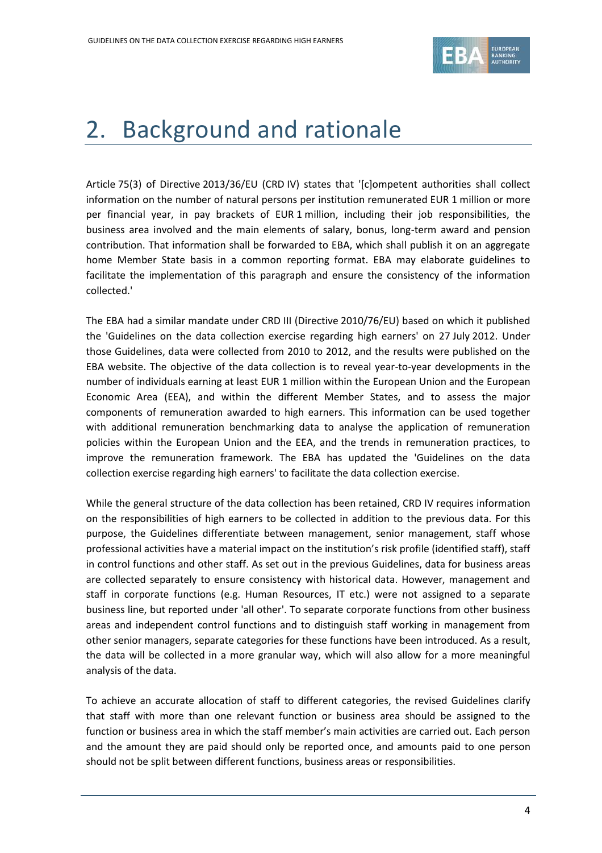

## 2. Background and rationale

Article 75(3) of Directive 2013/36/EU (CRD IV) states that '[c]ompetent authorities shall collect information on the number of natural persons per institution remunerated EUR 1 million or more per financial year, in pay brackets of EUR 1 million, including their job responsibilities, the business area involved and the main elements of salary, bonus, long-term award and pension contribution. That information shall be forwarded to EBA, which shall publish it on an aggregate home Member State basis in a common reporting format. EBA may elaborate guidelines to facilitate the implementation of this paragraph and ensure the consistency of the information collected.'

The EBA had a similar mandate under CRD III (Directive 2010/76/EU) based on which it published the 'Guidelines on the data collection exercise regarding high earners' on 27 July 2012. Under those Guidelines, data were collected from 2010 to 2012, and the results were published on the EBA website. The objective of the data collection is to reveal year-to-year developments in the number of individuals earning at least EUR 1 million within the European Union and the European Economic Area (EEA), and within the different Member States, and to assess the major components of remuneration awarded to high earners. This information can be used together with additional remuneration benchmarking data to analyse the application of remuneration policies within the European Union and the EEA, and the trends in remuneration practices, to improve the remuneration framework. The EBA has updated the 'Guidelines on the data collection exercise regarding high earners' to facilitate the data collection exercise.

While the general structure of the data collection has been retained, CRD IV requires information on the responsibilities of high earners to be collected in addition to the previous data. For this purpose, the Guidelines differentiate between management, senior management, staff whose professional activities have a material impact on the institution's risk profile (identified staff), staff in control functions and other staff. As set out in the previous Guidelines, data for business areas are collected separately to ensure consistency with historical data. However, management and staff in corporate functions (e.g. Human Resources, IT etc.) were not assigned to a separate business line, but reported under 'all other'. To separate corporate functions from other business areas and independent control functions and to distinguish staff working in management from other senior managers, separate categories for these functions have been introduced. As a result, the data will be collected in a more granular way, which will also allow for a more meaningful analysis of the data.

To achieve an accurate allocation of staff to different categories, the revised Guidelines clarify that staff with more than one relevant function or business area should be assigned to the function or business area in which the staff member's main activities are carried out. Each person and the amount they are paid should only be reported once, and amounts paid to one person should not be split between different functions, business areas or responsibilities.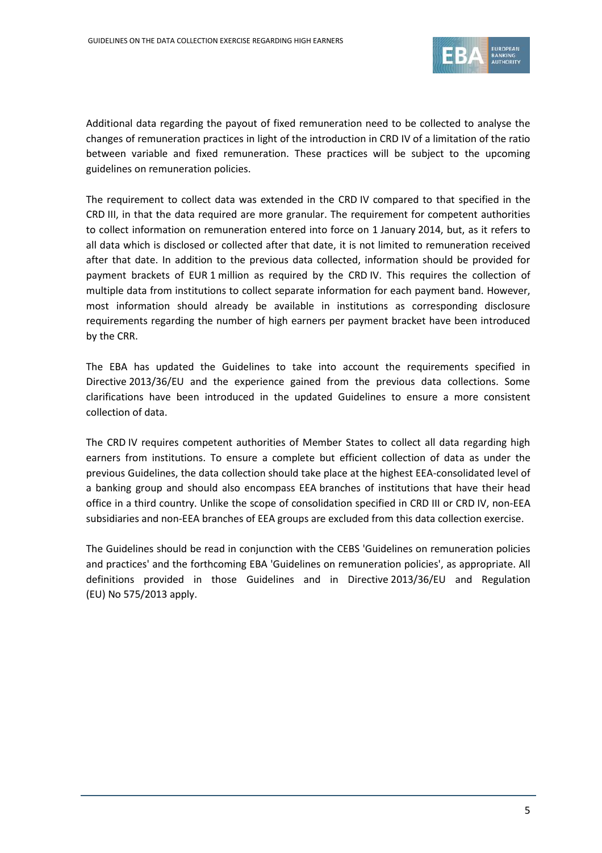

Additional data regarding the payout of fixed remuneration need to be collected to analyse the changes of remuneration practices in light of the introduction in CRD IV of a limitation of the ratio between variable and fixed remuneration. These practices will be subject to the upcoming guidelines on remuneration policies.

The requirement to collect data was extended in the CRD IV compared to that specified in the CRD III, in that the data required are more granular. The requirement for competent authorities to collect information on remuneration entered into force on 1 January 2014, but, as it refers to all data which is disclosed or collected after that date, it is not limited to remuneration received after that date. In addition to the previous data collected, information should be provided for payment brackets of EUR 1 million as required by the CRD IV. This requires the collection of multiple data from institutions to collect separate information for each payment band. However, most information should already be available in institutions as corresponding disclosure requirements regarding the number of high earners per payment bracket have been introduced by the CRR.

The EBA has updated the Guidelines to take into account the requirements specified in Directive 2013/36/EU and the experience gained from the previous data collections. Some clarifications have been introduced in the updated Guidelines to ensure a more consistent collection of data.

The CRD IV requires competent authorities of Member States to collect all data regarding high earners from institutions. To ensure a complete but efficient collection of data as under the previous Guidelines, the data collection should take place at the highest EEA-consolidated level of a banking group and should also encompass EEA branches of institutions that have their head office in a third country. Unlike the scope of consolidation specified in CRD III or CRD IV, non-EEA subsidiaries and non-EEA branches of EEA groups are excluded from this data collection exercise.

The Guidelines should be read in conjunction with the CEBS 'Guidelines on remuneration policies and practices' and the forthcoming EBA 'Guidelines on remuneration policies', as appropriate. All definitions provided in those Guidelines and in Directive 2013/36/EU and Regulation (EU) No 575/2013 apply.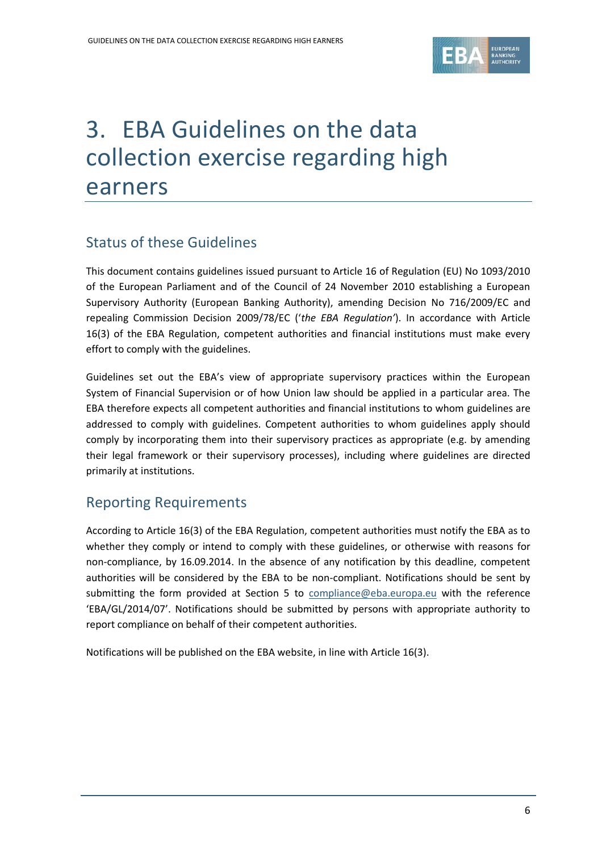

# 3. EBA Guidelines on the data collection exercise regarding high earners

### Status of these Guidelines

This document contains guidelines issued pursuant to Article 16 of Regulation (EU) No 1093/2010 of the European Parliament and of the Council of 24 November 2010 establishing a European Supervisory Authority (European Banking Authority), amending Decision No 716/2009/EC and repealing Commission Decision 2009/78/EC ('*the EBA Regulation'*). In accordance with Article 16(3) of the EBA Regulation, competent authorities and financial institutions must make every effort to comply with the guidelines.

Guidelines set out the EBA's view of appropriate supervisory practices within the European System of Financial Supervision or of how Union law should be applied in a particular area. The EBA therefore expects all competent authorities and financial institutions to whom guidelines are addressed to comply with guidelines. Competent authorities to whom guidelines apply should comply by incorporating them into their supervisory practices as appropriate (e.g. by amending their legal framework or their supervisory processes), including where guidelines are directed primarily at institutions.

### Reporting Requirements

According to Article 16(3) of the EBA Regulation, competent authorities must notify the EBA as to whether they comply or intend to comply with these guidelines, or otherwise with reasons for non-compliance, by 16.09.2014. In the absence of any notification by this deadline, competent authorities will be considered by the EBA to be non-compliant. Notifications should be sent by submitting the form provided at Section 5 to [compliance@eba.europa.eu](mailto:compliance@eba.europa.eu) with the reference 'EBA/GL/2014/07'. Notifications should be submitted by persons with appropriate authority to report compliance on behalf of their competent authorities.

Notifications will be published on the EBA website, in line with Article 16(3).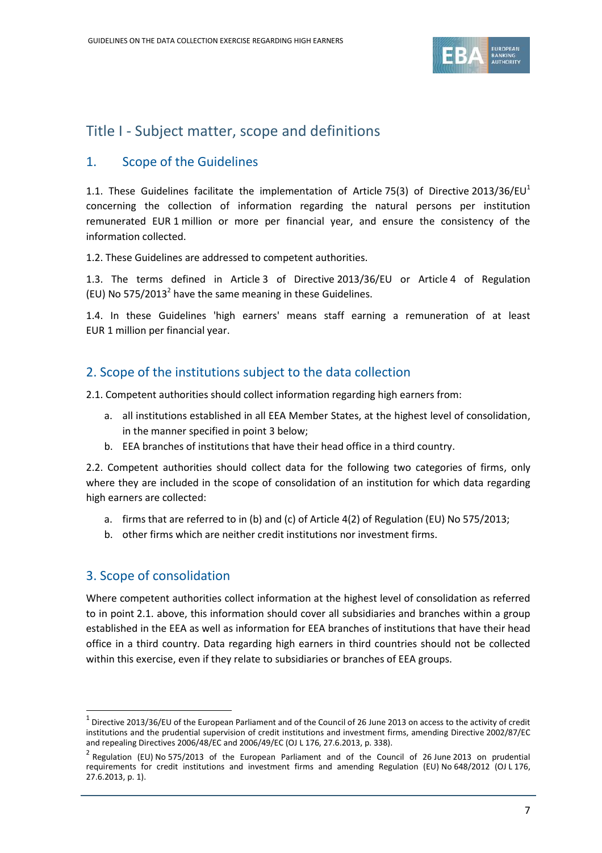

### Title I - Subject matter, scope and definitions

#### 1. Scope of the Guidelines

1.1. These Guidelines facilitate the implementation of Article 75(3) of Directive 2013/36/EU<sup>1</sup> concerning the collection of information regarding the natural persons per institution remunerated EUR 1 million or more per financial year, and ensure the consistency of the information collected.

1.2. These Guidelines are addressed to competent authorities.

1.3. The terms defined in Article 3 of Directive 2013/36/EU or Article 4 of Regulation (EU) No  $575/2013<sup>2</sup>$  have the same meaning in these Guidelines.

1.4. In these Guidelines 'high earners' means staff earning a remuneration of at least EUR 1 million per financial year.

#### 2. Scope of the institutions subject to the data collection

2.1. Competent authorities should collect information regarding high earners from:

- a. all institutions established in all EEA Member States, at the highest level of consolidation, in the manner specified in point 3 below;
- b. EEA branches of institutions that have their head office in a third country.

2.2. Competent authorities should collect data for the following two categories of firms, only where they are included in the scope of consolidation of an institution for which data regarding high earners are collected:

- a. firms that are referred to in (b) and (c) of Article 4(2) of Regulation (EU) No 575/2013;
- b. other firms which are neither credit institutions nor investment firms.

#### 3. Scope of consolidation

1

Where competent authorities collect information at the highest level of consolidation as referred to in point 2.1. above, this information should cover all subsidiaries and branches within a group established in the EEA as well as information for EEA branches of institutions that have their head office in a third country. Data regarding high earners in third countries should not be collected within this exercise, even if they relate to subsidiaries or branches of EEA groups.

 $^1$  Directive 2013/36/EU of the European Parliament and of the Council of 26 June 2013 on access to the activity of credit institutions and the prudential supervision of credit institutions and investment firms, amending Directive 2002/87/EC and repealing Directives 2006/48/EC and 2006/49/EC (OJ L 176, 27.6.2013, p. 338).

<sup>&</sup>lt;sup>2</sup> Regulation (EU) No 575/2013 of the European Parliament and of the Council of 26 June 2013 on prudential requirements for credit institutions and investment firms and amending Regulation (EU) No 648/2012 (OJ L 176, 27.6.2013, p. 1).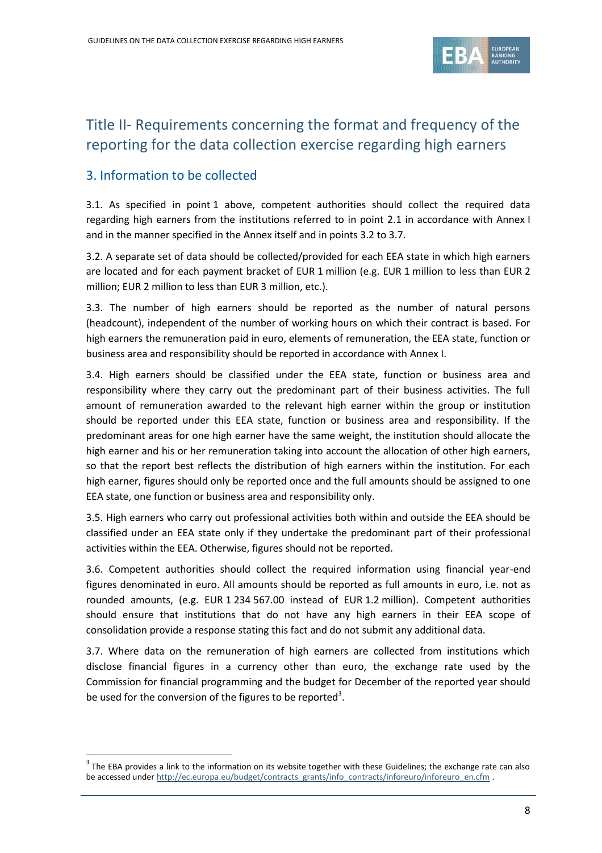

## Title II- Requirements concerning the format and frequency of the reporting for the data collection exercise regarding high earners

#### 3. Information to be collected

1

3.1. As specified in point 1 above, competent authorities should collect the required data regarding high earners from the institutions referred to in point 2.1 in accordance with Annex I and in the manner specified in the Annex itself and in points 3.2 to 3.7.

3.2. A separate set of data should be collected/provided for each EEA state in which high earners are located and for each payment bracket of EUR 1 million (e.g. EUR 1 million to less than EUR 2 million; EUR 2 million to less than EUR 3 million, etc.).

3.3. The number of high earners should be reported as the number of natural persons (headcount), independent of the number of working hours on which their contract is based. For high earners the remuneration paid in euro, elements of remuneration, the EEA state, function or business area and responsibility should be reported in accordance with Annex I.

3.4. High earners should be classified under the EEA state, function or business area and responsibility where they carry out the predominant part of their business activities. The full amount of remuneration awarded to the relevant high earner within the group or institution should be reported under this EEA state, function or business area and responsibility. If the predominant areas for one high earner have the same weight, the institution should allocate the high earner and his or her remuneration taking into account the allocation of other high earners, so that the report best reflects the distribution of high earners within the institution. For each high earner, figures should only be reported once and the full amounts should be assigned to one EEA state, one function or business area and responsibility only.

3.5. High earners who carry out professional activities both within and outside the EEA should be classified under an EEA state only if they undertake the predominant part of their professional activities within the EEA. Otherwise, figures should not be reported.

3.6. Competent authorities should collect the required information using financial year-end figures denominated in euro. All amounts should be reported as full amounts in euro, i.e. not as rounded amounts, (e.g. EUR 1 234 567.00 instead of EUR 1.2 million). Competent authorities should ensure that institutions that do not have any high earners in their EEA scope of consolidation provide a response stating this fact and do not submit any additional data.

3.7. Where data on the remuneration of high earners are collected from institutions which disclose financial figures in a currency other than euro, the exchange rate used by the Commission for financial programming and the budget for December of the reported year should be used for the conversion of the figures to be reported<sup>3</sup>.

 $3$  The EBA provides a link to the information on its website together with these Guidelines; the exchange rate can also be accessed under [http://ec.europa.eu/budget/contracts\\_grants/info\\_contracts/inforeuro/inforeuro\\_en.cfm](http://ec.europa.eu/budget/contracts_grants/info_contracts/inforeuro/inforeuro_en.cfm) .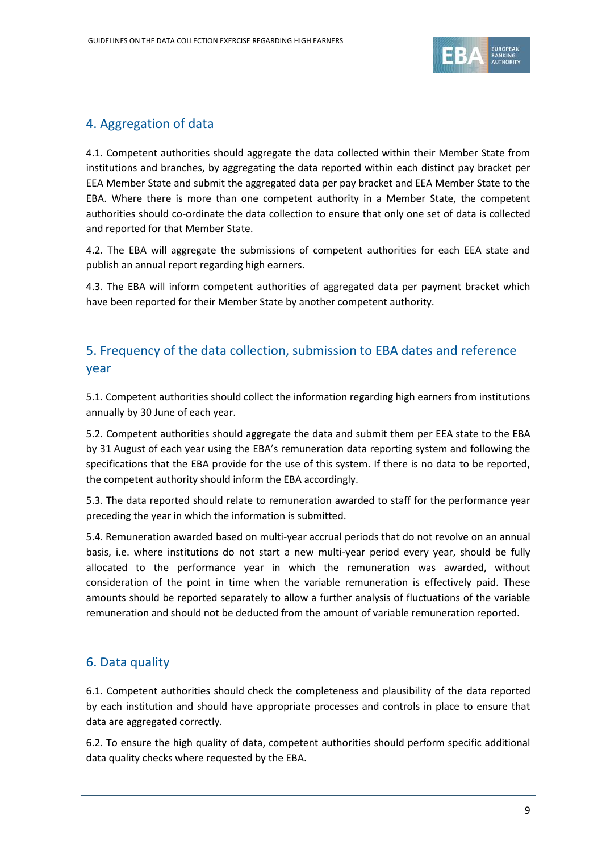

### 4. Aggregation of data

4.1. Competent authorities should aggregate the data collected within their Member State from institutions and branches, by aggregating the data reported within each distinct pay bracket per EEA Member State and submit the aggregated data per pay bracket and EEA Member State to the EBA. Where there is more than one competent authority in a Member State, the competent authorities should co-ordinate the data collection to ensure that only one set of data is collected and reported for that Member State.

4.2. The EBA will aggregate the submissions of competent authorities for each EEA state and publish an annual report regarding high earners.

4.3. The EBA will inform competent authorities of aggregated data per payment bracket which have been reported for their Member State by another competent authority.

### 5. Frequency of the data collection, submission to EBA dates and reference year

5.1. Competent authorities should collect the information regarding high earners from institutions annually by 30 June of each year.

5.2. Competent authorities should aggregate the data and submit them per EEA state to the EBA by 31 August of each year using the EBA's remuneration data reporting system and following the specifications that the EBA provide for the use of this system. If there is no data to be reported, the competent authority should inform the EBA accordingly.

5.3. The data reported should relate to remuneration awarded to staff for the performance year preceding the year in which the information is submitted.

5.4. Remuneration awarded based on multi-year accrual periods that do not revolve on an annual basis, i.e. where institutions do not start a new multi-year period every year, should be fully allocated to the performance year in which the remuneration was awarded, without consideration of the point in time when the variable remuneration is effectively paid. These amounts should be reported separately to allow a further analysis of fluctuations of the variable remuneration and should not be deducted from the amount of variable remuneration reported.

### 6. Data quality

6.1. Competent authorities should check the completeness and plausibility of the data reported by each institution and should have appropriate processes and controls in place to ensure that data are aggregated correctly.

6.2. To ensure the high quality of data, competent authorities should perform specific additional data quality checks where requested by the EBA.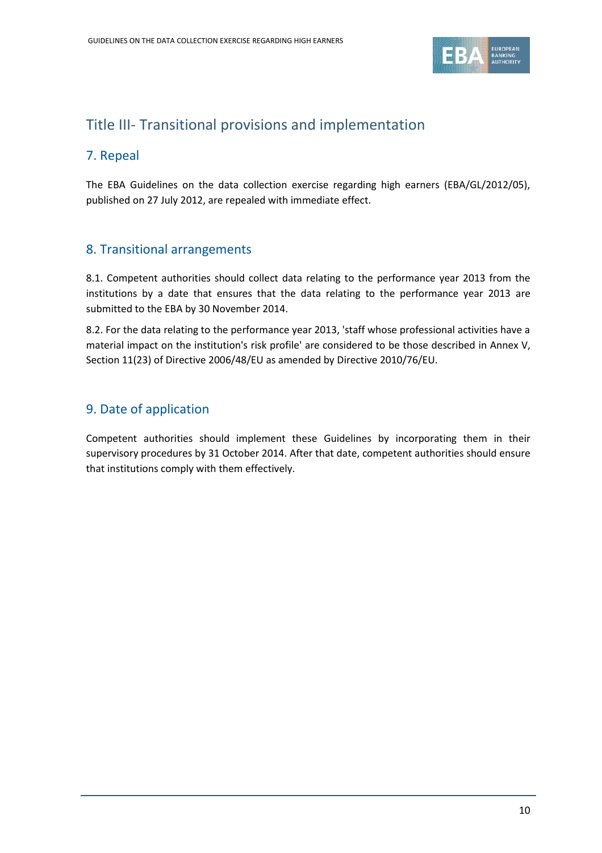

### Title III- Transitional provisions and implementation

#### 7. Repeal

The EBA Guidelines on the data collection exercise regarding high earners (EBA/GL/2012/05), published on 27 July 2012, are repealed with immediate effect.

#### 8. Transitional arrangements

8.1. Competent authorities should collect data relating to the performance year 2013 from the institutions by a date that ensures that the data relating to the performance year 2013 are submitted to the EBA by 30 November 2014.

8.2. For the data relating to the performance year 2013, 'staff whose professional activities have a material impact on the institution's risk profile' are considered to be those described in Annex V, Section 11(23) of Directive 2006/48/EU as amended by Directive 2010/76/EU.

### 9. Date of application

Competent authorities should implement these Guidelines by incorporating them in their supervisory procedures by 31 October 2014. After that date, competent authorities should ensure that institutions comply with them effectively.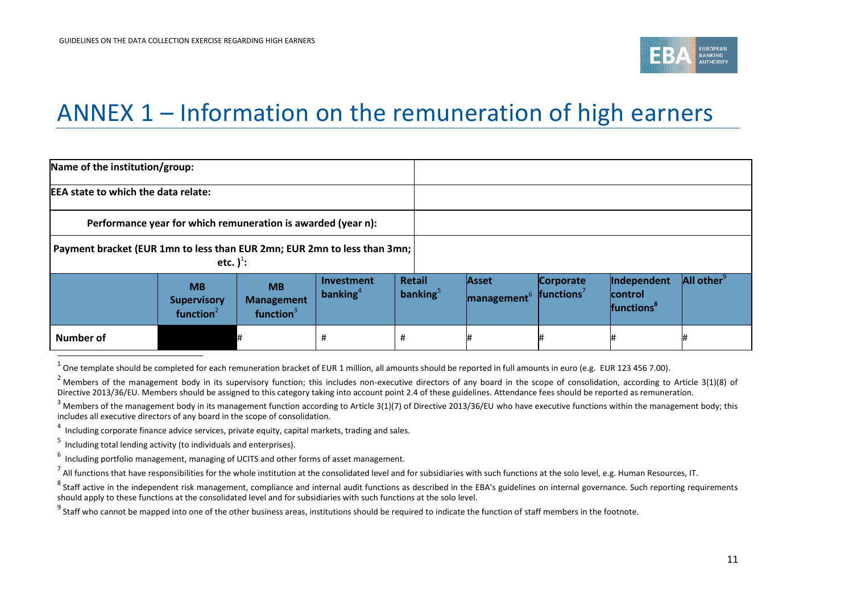

## ANNEX 1 – Information on the remuneration of high earners

| Name of the institution/group:                                                             |                                                              |                                                |                           |                              |                                  |                                     |                                                   |                        |
|--------------------------------------------------------------------------------------------|--------------------------------------------------------------|------------------------------------------------|---------------------------|------------------------------|----------------------------------|-------------------------------------|---------------------------------------------------|------------------------|
| <b>EEA state to which the data relate:</b>                                                 |                                                              |                                                |                           |                              |                                  |                                     |                                                   |                        |
|                                                                                            | Performance year for which remuneration is awarded (year n): |                                                |                           |                              |                                  |                                     |                                                   |                        |
| Payment bracket (EUR 1mn to less than EUR 2mn; EUR 2mn to less than 3mn;<br>etc. $)^{1}$ : |                                                              |                                                |                           |                              |                                  |                                     |                                                   |                        |
|                                                                                            | <b>MB</b><br><b>Supervisory</b><br>function $2$              | <b>MB</b><br><b>Management</b><br>function $3$ | Investment<br>banking $4$ | <b>Retail</b><br>banking $5$ | Asset<br>management <sup>6</sup> | Corporate<br>functions <sup>7</sup> | Independent<br>lcontrol<br>functions <sup>8</sup> | All other <sup>9</sup> |
| <b>Number of</b>                                                                           |                                                              |                                                | #                         | #                            |                                  | 1#                                  |                                                   |                        |

4  $\frac{1}{1}$  Including corporate finance advice services, private equity, capital markets, trading and sales.

5 Including total lending activity (to individuals and enterprises).

1

 $^7$  All functions that have responsibilities for the whole institution at the consolidated level and for subsidiaries with such functions at the solo level, e.g. Human Resources, IT.

 $^9$  Staff who cannot be mapped into one of the other business areas, institutions should be required to indicate the function of staff members in the footnote.

 $^1$  One template should be completed for each remuneration bracket of EUR 1 million, all amounts should be reported in full amounts in euro (e.g. EUR 123 456 7.00).

 $2$  Members of the management body in its supervisory function; this includes non-executive directors of any board in the scope of consolidation, according to Article 3(1)(8) of Directive 2013/36/EU. Members should be assigned to this category taking into account point 2.4 of these guidelines. Attendance fees should be reported as remuneration.

 $3$  Members of the management body in its management function according to Article 3(1)(7) of Directive 2013/36/EU who have executive functions within the management body; this includes all executive directors of any board in the scope of consolidation.

 $<sup>6</sup>$  Including portfolio management, managing of UCITS and other forms of asset management.</sup>

 $^8$  Staff active in the independent risk management, compliance and internal audit functions as described in the EBA's guidelines on internal governance. Such reporting requirements should apply to these functions at the consolidated level and for subsidiaries with such functions at the solo level.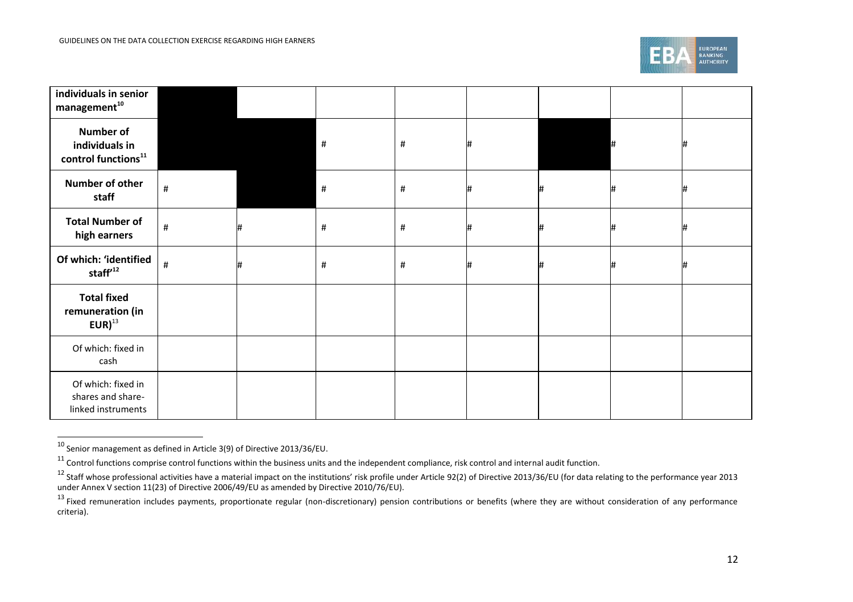

| individuals in senior<br>$m$ anagement $^{10}$                  |      |   |      |      |   |   |    |   |
|-----------------------------------------------------------------|------|---|------|------|---|---|----|---|
| <b>Number of</b><br>individuals in<br>control functions $^{11}$ |      |   | $\#$ | #    | # |   |    |   |
| Number of other<br>staff                                        | $\#$ |   | $\#$ | $\#$ |   | # | #  |   |
| <b>Total Number of</b><br>high earners                          | $\#$ | # | $\#$ | #    | # | # | l# | # |
| Of which: 'identified<br>staff $12$                             | $\#$ | # | $\#$ | #    | # |   |    |   |
| <b>Total fixed</b><br>remuneration (in<br>$EUR)^{13}$           |      |   |      |      |   |   |    |   |
| Of which: fixed in<br>cash                                      |      |   |      |      |   |   |    |   |
| Of which: fixed in<br>shares and share-<br>linked instruments   |      |   |      |      |   |   |    |   |

 $\frac{10}{10}$  Senior management as defined in Article 3(9) of Directive 2013/36/EU.

 $11$  Control functions comprise control functions within the business units and the independent compliance, risk control and internal audit function.

 $^{12}$  Staff whose professional activities have a material impact on the institutions' risk profile under Article 92(2) of Directive 2013/36/EU (for data relating to the performance year 2013 under Annex V section 11(23) of Directive 2006/49/EU as amended by Directive 2010/76/EU).

<sup>&</sup>lt;sup>13</sup> Fixed remuneration includes payments, proportionate regular (non-discretionary) pension contributions or benefits (where they are without consideration of any performance criteria).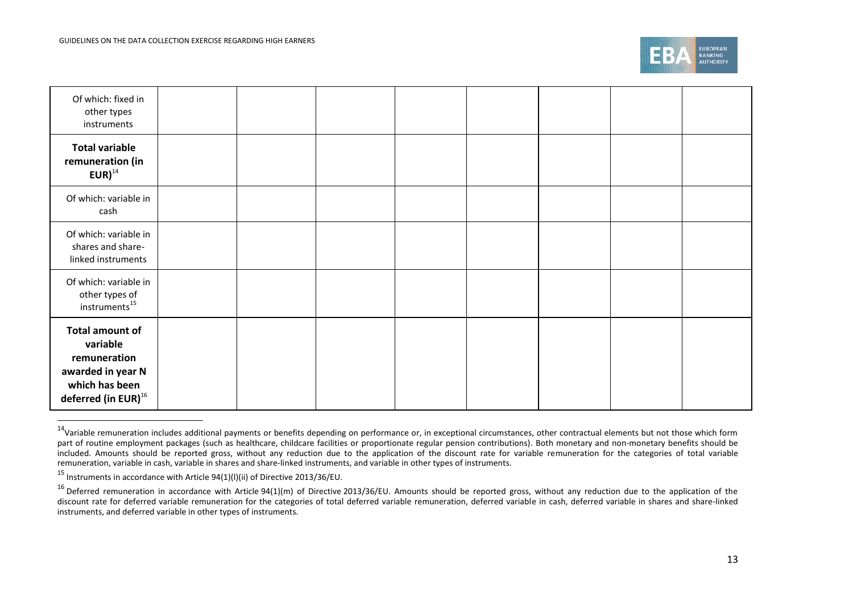

| Of which: fixed in<br>other types<br>instruments                                                                      |  |  |  |  |
|-----------------------------------------------------------------------------------------------------------------------|--|--|--|--|
| <b>Total variable</b><br>remuneration (in<br>$EUR)^{14}$                                                              |  |  |  |  |
| Of which: variable in<br>cash                                                                                         |  |  |  |  |
| Of which: variable in<br>shares and share-<br>linked instruments                                                      |  |  |  |  |
| Of which: variable in<br>other types of<br>instruments <sup>15</sup>                                                  |  |  |  |  |
| Total amount of<br>variable<br>remuneration<br>awarded in year N<br>which has been<br>deferred (in EUR) <sup>16</sup> |  |  |  |  |

<sup>&</sup>lt;sup>14</sup>Variable remuneration includes additional payments or benefits depending on performance or, in exceptional circumstances, other contractual elements but not those which form part of routine employment packages (such as healthcare, childcare facilities or proportionate regular pension contributions). Both monetary and non-monetary benefits should be included. Amounts should be reported gross, without any reduction due to the application of the discount rate for variable remuneration for the categories of total variable remuneration, variable in cash, variable in shares and share-linked instruments, and variable in other types of instruments.

.

<sup>15</sup> Instruments in accordance with Article 94(1)(l)(ii) of Directive 2013/36/EU.

<sup>&</sup>lt;sup>16</sup> Deferred remuneration in accordance with Article 94(1)(m) of Directive 2013/36/EU. Amounts should be reported gross, without any reduction due to the application of the discount rate for deferred variable remuneration for the categories of total deferred variable remuneration, deferred variable in cash, deferred variable in shares and share-linked instruments, and deferred variable in other types of instruments.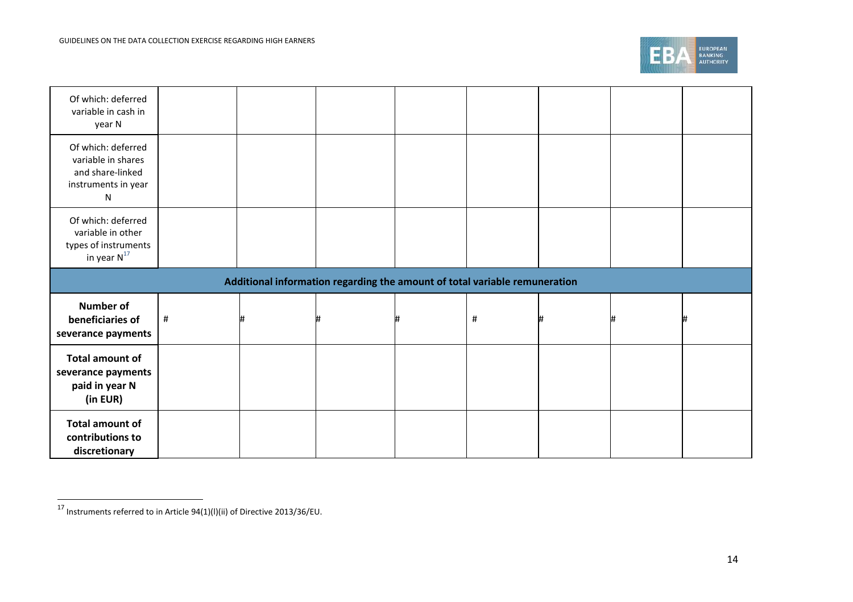

| Of which: deferred<br>variable in cash in<br>year N                                              |      |  |  |  |   |  |   |  |  |
|--------------------------------------------------------------------------------------------------|------|--|--|--|---|--|---|--|--|
| Of which: deferred<br>variable in shares<br>and share-linked<br>instruments in year<br>${\sf N}$ |      |  |  |  |   |  |   |  |  |
| Of which: deferred<br>variable in other<br>types of instruments<br>in year $N^{17}$              |      |  |  |  |   |  |   |  |  |
| Additional information regarding the amount of total variable remuneration                       |      |  |  |  |   |  |   |  |  |
|                                                                                                  |      |  |  |  |   |  |   |  |  |
| <b>Number of</b><br>beneficiaries of<br>severance payments                                       | $\#$ |  |  |  | # |  | # |  |  |
| <b>Total amount of</b><br>severance payments<br>paid in year N<br>(in EUR)                       |      |  |  |  |   |  |   |  |  |

 $\overline{^{17}}$  Instruments referred to in Article 94(1)(l)(ii) of Directive 2013/36/EU.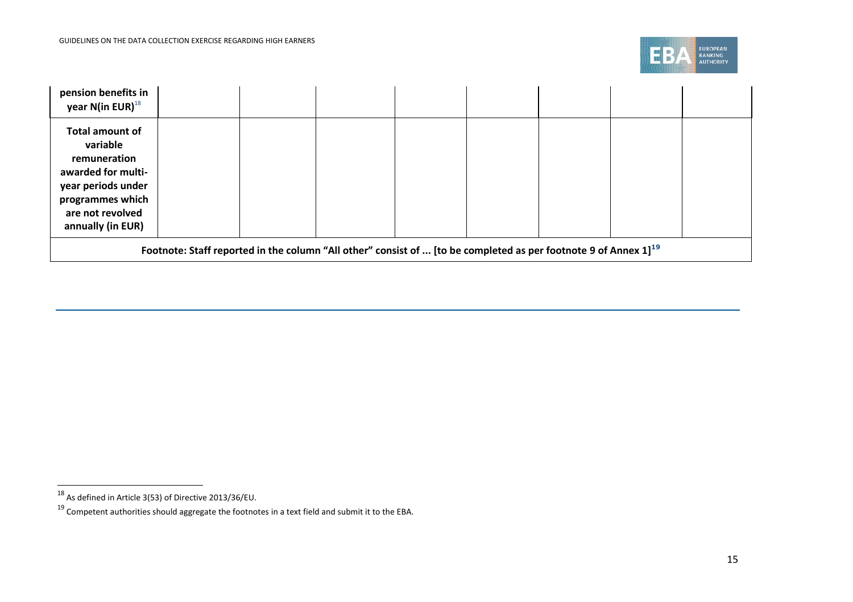

| pension benefits in<br>year N(in EUR) $^{18}$                                                                                                        |  |  |  |  |  |  |  |
|------------------------------------------------------------------------------------------------------------------------------------------------------|--|--|--|--|--|--|--|
| Total amount of<br>variable<br>remuneration<br>awarded for multi-<br>year periods under<br>programmes which<br>are not revolved<br>annually (in EUR) |  |  |  |  |  |  |  |
| Footnote: Staff reported in the column "All other" consist of  [to be completed as per footnote 9 of Annex $1]^{19}$                                 |  |  |  |  |  |  |  |

 $\overline{^{18}}$  As defined in Article 3(53) of Directive 2013/36/EU.

 $^{19}$  Competent authorities should aggregate the footnotes in a text field and submit it to the EBA.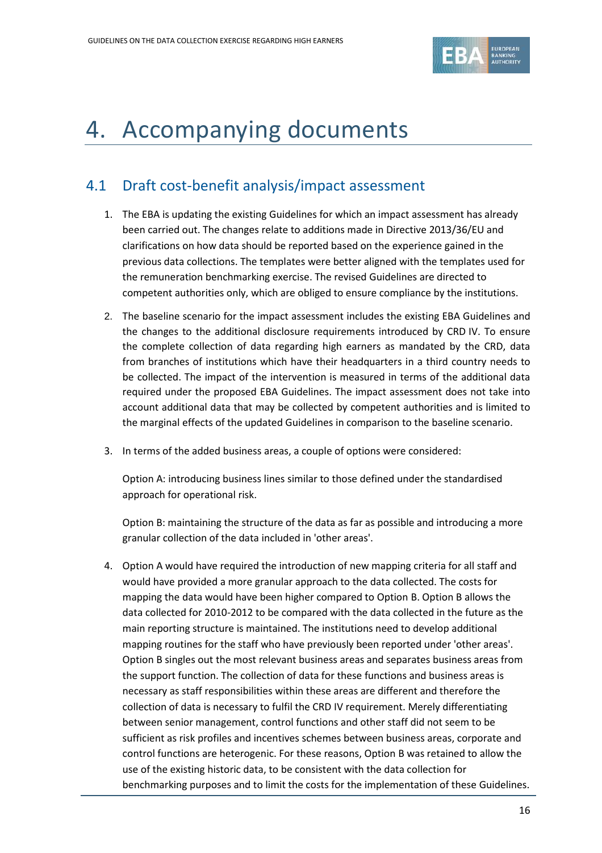

## 4. Accompanying documents

### 4.1 Draft cost-benefit analysis/impact assessment

- 1. The EBA is updating the existing Guidelines for which an impact assessment has already been carried out. The changes relate to additions made in Directive 2013/36/EU and clarifications on how data should be reported based on the experience gained in the previous data collections. The templates were better aligned with the templates used for the remuneration benchmarking exercise. The revised Guidelines are directed to competent authorities only, which are obliged to ensure compliance by the institutions.
- 2. The baseline scenario for the impact assessment includes the existing EBA Guidelines and the changes to the additional disclosure requirements introduced by CRD IV. To ensure the complete collection of data regarding high earners as mandated by the CRD, data from branches of institutions which have their headquarters in a third country needs to be collected. The impact of the intervention is measured in terms of the additional data required under the proposed EBA Guidelines. The impact assessment does not take into account additional data that may be collected by competent authorities and is limited to the marginal effects of the updated Guidelines in comparison to the baseline scenario.
- 3. In terms of the added business areas, a couple of options were considered:

Option A: introducing business lines similar to those defined under the standardised approach for operational risk.

Option B: maintaining the structure of the data as far as possible and introducing a more granular collection of the data included in 'other areas'.

4. Option A would have required the introduction of new mapping criteria for all staff and would have provided a more granular approach to the data collected. The costs for mapping the data would have been higher compared to Option B. Option B allows the data collected for 2010-2012 to be compared with the data collected in the future as the main reporting structure is maintained. The institutions need to develop additional mapping routines for the staff who have previously been reported under 'other areas'. Option B singles out the most relevant business areas and separates business areas from the support function. The collection of data for these functions and business areas is necessary as staff responsibilities within these areas are different and therefore the collection of data is necessary to fulfil the CRD IV requirement. Merely differentiating between senior management, control functions and other staff did not seem to be sufficient as risk profiles and incentives schemes between business areas, corporate and control functions are heterogenic. For these reasons, Option B was retained to allow the use of the existing historic data, to be consistent with the data collection for benchmarking purposes and to limit the costs for the implementation of these Guidelines.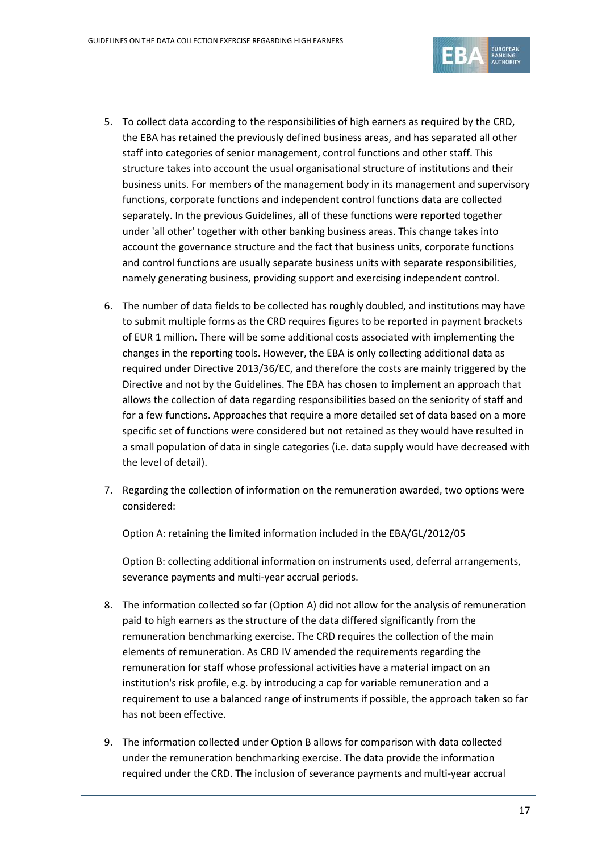

- 5. To collect data according to the responsibilities of high earners as required by the CRD, the EBA has retained the previously defined business areas, and has separated all other staff into categories of senior management, control functions and other staff. This structure takes into account the usual organisational structure of institutions and their business units. For members of the management body in its management and supervisory functions, corporate functions and independent control functions data are collected separately. In the previous Guidelines, all of these functions were reported together under 'all other' together with other banking business areas. This change takes into account the governance structure and the fact that business units, corporate functions and control functions are usually separate business units with separate responsibilities, namely generating business, providing support and exercising independent control.
- 6. The number of data fields to be collected has roughly doubled, and institutions may have to submit multiple forms as the CRD requires figures to be reported in payment brackets of EUR 1 million. There will be some additional costs associated with implementing the changes in the reporting tools. However, the EBA is only collecting additional data as required under Directive 2013/36/EC, and therefore the costs are mainly triggered by the Directive and not by the Guidelines. The EBA has chosen to implement an approach that allows the collection of data regarding responsibilities based on the seniority of staff and for a few functions. Approaches that require a more detailed set of data based on a more specific set of functions were considered but not retained as they would have resulted in a small population of data in single categories (i.e. data supply would have decreased with the level of detail).
- 7. Regarding the collection of information on the remuneration awarded, two options were considered:

Option A: retaining the limited information included in the EBA/GL/2012/05

Option B: collecting additional information on instruments used, deferral arrangements, severance payments and multi-year accrual periods.

- 8. The information collected so far (Option A) did not allow for the analysis of remuneration paid to high earners as the structure of the data differed significantly from the remuneration benchmarking exercise. The CRD requires the collection of the main elements of remuneration. As CRD IV amended the requirements regarding the remuneration for staff whose professional activities have a material impact on an institution's risk profile, e.g. by introducing a cap for variable remuneration and a requirement to use a balanced range of instruments if possible, the approach taken so far has not been effective.
- 9. The information collected under Option B allows for comparison with data collected under the remuneration benchmarking exercise. The data provide the information required under the CRD. The inclusion of severance payments and multi-year accrual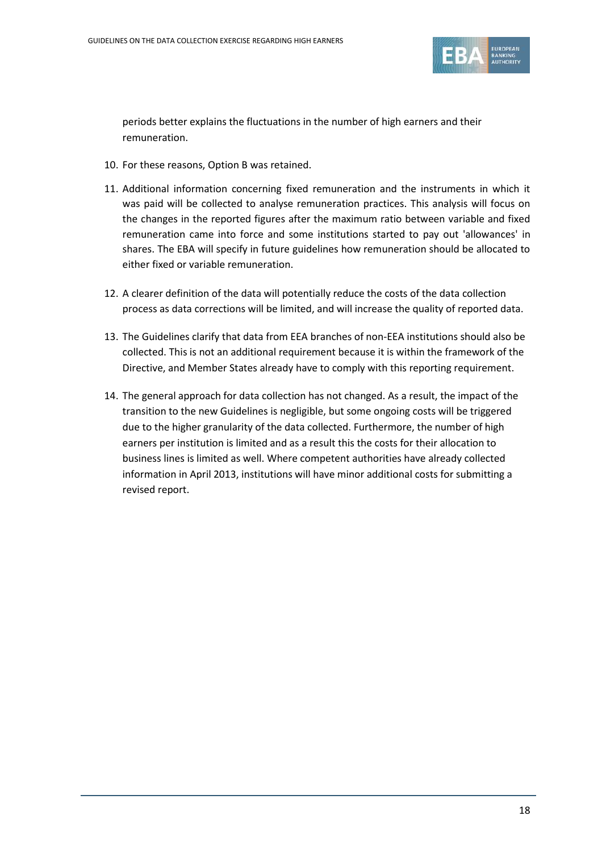

periods better explains the fluctuations in the number of high earners and their remuneration.

- 10. For these reasons, Option B was retained.
- 11. Additional information concerning fixed remuneration and the instruments in which it was paid will be collected to analyse remuneration practices. This analysis will focus on the changes in the reported figures after the maximum ratio between variable and fixed remuneration came into force and some institutions started to pay out 'allowances' in shares. The EBA will specify in future guidelines how remuneration should be allocated to either fixed or variable remuneration.
- 12. A clearer definition of the data will potentially reduce the costs of the data collection process as data corrections will be limited, and will increase the quality of reported data.
- 13. The Guidelines clarify that data from EEA branches of non-EEA institutions should also be collected. This is not an additional requirement because it is within the framework of the Directive, and Member States already have to comply with this reporting requirement.
- 14. The general approach for data collection has not changed. As a result, the impact of the transition to the new Guidelines is negligible, but some ongoing costs will be triggered due to the higher granularity of the data collected. Furthermore, the number of high earners per institution is limited and as a result this the costs for their allocation to business lines is limited as well. Where competent authorities have already collected information in April 2013, institutions will have minor additional costs for submitting a revised report.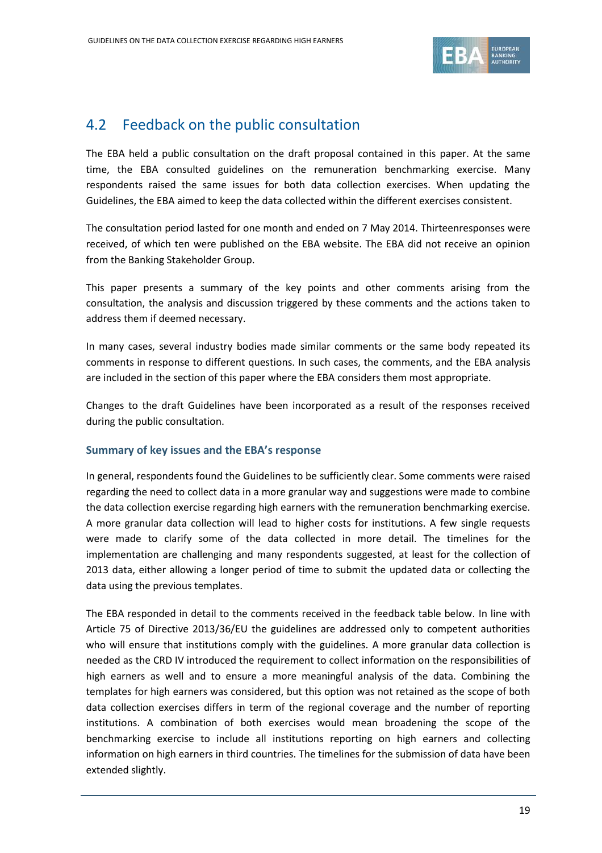

### 4.2 Feedback on the public consultation

The EBA held a public consultation on the draft proposal contained in this paper. At the same time, the EBA consulted guidelines on the remuneration benchmarking exercise. Many respondents raised the same issues for both data collection exercises. When updating the Guidelines, the EBA aimed to keep the data collected within the different exercises consistent.

The consultation period lasted for one month and ended on 7 May 2014. Thirteenresponses were received, of which ten were published on the EBA website. The EBA did not receive an opinion from the Banking Stakeholder Group.

This paper presents a summary of the key points and other comments arising from the consultation, the analysis and discussion triggered by these comments and the actions taken to address them if deemed necessary.

In many cases, several industry bodies made similar comments or the same body repeated its comments in response to different questions. In such cases, the comments, and the EBA analysis are included in the section of this paper where the EBA considers them most appropriate.

Changes to the draft Guidelines have been incorporated as a result of the responses received during the public consultation.

#### **Summary of key issues and the EBA's response**

In general, respondents found the Guidelines to be sufficiently clear. Some comments were raised regarding the need to collect data in a more granular way and suggestions were made to combine the data collection exercise regarding high earners with the remuneration benchmarking exercise. A more granular data collection will lead to higher costs for institutions. A few single requests were made to clarify some of the data collected in more detail. The timelines for the implementation are challenging and many respondents suggested, at least for the collection of 2013 data, either allowing a longer period of time to submit the updated data or collecting the data using the previous templates.

The EBA responded in detail to the comments received in the feedback table below. In line with Article 75 of Directive 2013/36/EU the guidelines are addressed only to competent authorities who will ensure that institutions comply with the guidelines. A more granular data collection is needed as the CRD IV introduced the requirement to collect information on the responsibilities of high earners as well and to ensure a more meaningful analysis of the data. Combining the templates for high earners was considered, but this option was not retained as the scope of both data collection exercises differs in term of the regional coverage and the number of reporting institutions. A combination of both exercises would mean broadening the scope of the benchmarking exercise to include all institutions reporting on high earners and collecting information on high earners in third countries. The timelines for the submission of data have been extended slightly.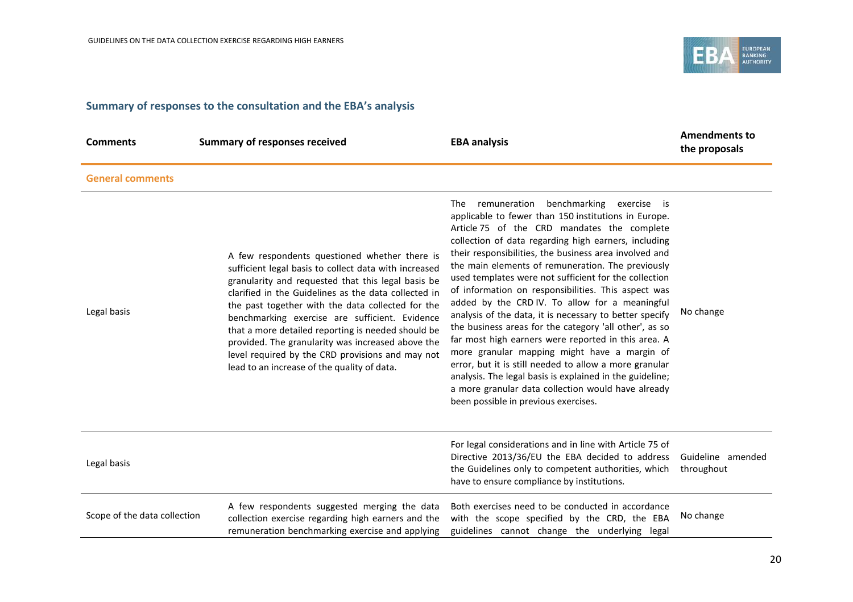

## **Summary of responses to the consultation and the EBA's analysis**

| <b>Comments</b>              | <b>Summary of responses received</b>                                                                                                                                                                                                                                                                                                                                                                                                                                                                                                      | <b>EBA analysis</b>                                                                                                                                                                                                                                                                                                                                                                                                                                                                                                                                                                                                                                                                                                                                                                                                                                                                                                                          | <b>Amendments to</b><br>the proposals |
|------------------------------|-------------------------------------------------------------------------------------------------------------------------------------------------------------------------------------------------------------------------------------------------------------------------------------------------------------------------------------------------------------------------------------------------------------------------------------------------------------------------------------------------------------------------------------------|----------------------------------------------------------------------------------------------------------------------------------------------------------------------------------------------------------------------------------------------------------------------------------------------------------------------------------------------------------------------------------------------------------------------------------------------------------------------------------------------------------------------------------------------------------------------------------------------------------------------------------------------------------------------------------------------------------------------------------------------------------------------------------------------------------------------------------------------------------------------------------------------------------------------------------------------|---------------------------------------|
| <b>General comments</b>      |                                                                                                                                                                                                                                                                                                                                                                                                                                                                                                                                           |                                                                                                                                                                                                                                                                                                                                                                                                                                                                                                                                                                                                                                                                                                                                                                                                                                                                                                                                              |                                       |
| Legal basis                  | A few respondents questioned whether there is<br>sufficient legal basis to collect data with increased<br>granularity and requested that this legal basis be<br>clarified in the Guidelines as the data collected in<br>the past together with the data collected for the<br>benchmarking exercise are sufficient. Evidence<br>that a more detailed reporting is needed should be<br>provided. The granularity was increased above the<br>level required by the CRD provisions and may not<br>lead to an increase of the quality of data. | remuneration benchmarking exercise is<br>The<br>applicable to fewer than 150 institutions in Europe.<br>Article 75 of the CRD mandates the complete<br>collection of data regarding high earners, including<br>their responsibilities, the business area involved and<br>the main elements of remuneration. The previously<br>used templates were not sufficient for the collection<br>of information on responsibilities. This aspect was<br>added by the CRD IV. To allow for a meaningful<br>analysis of the data, it is necessary to better specify<br>the business areas for the category 'all other', as so<br>far most high earners were reported in this area. A<br>more granular mapping might have a margin of<br>error, but it is still needed to allow a more granular<br>analysis. The legal basis is explained in the guideline;<br>a more granular data collection would have already<br>been possible in previous exercises. | No change                             |
| Legal basis                  |                                                                                                                                                                                                                                                                                                                                                                                                                                                                                                                                           | For legal considerations and in line with Article 75 of<br>Directive 2013/36/EU the EBA decided to address<br>the Guidelines only to competent authorities, which<br>have to ensure compliance by institutions.                                                                                                                                                                                                                                                                                                                                                                                                                                                                                                                                                                                                                                                                                                                              | Guideline amended<br>throughout       |
| Scope of the data collection | A few respondents suggested merging the data<br>collection exercise regarding high earners and the<br>remuneration benchmarking exercise and applying                                                                                                                                                                                                                                                                                                                                                                                     | Both exercises need to be conducted in accordance<br>with the scope specified by the CRD, the EBA<br>guidelines cannot change the underlying legal                                                                                                                                                                                                                                                                                                                                                                                                                                                                                                                                                                                                                                                                                                                                                                                           | No change                             |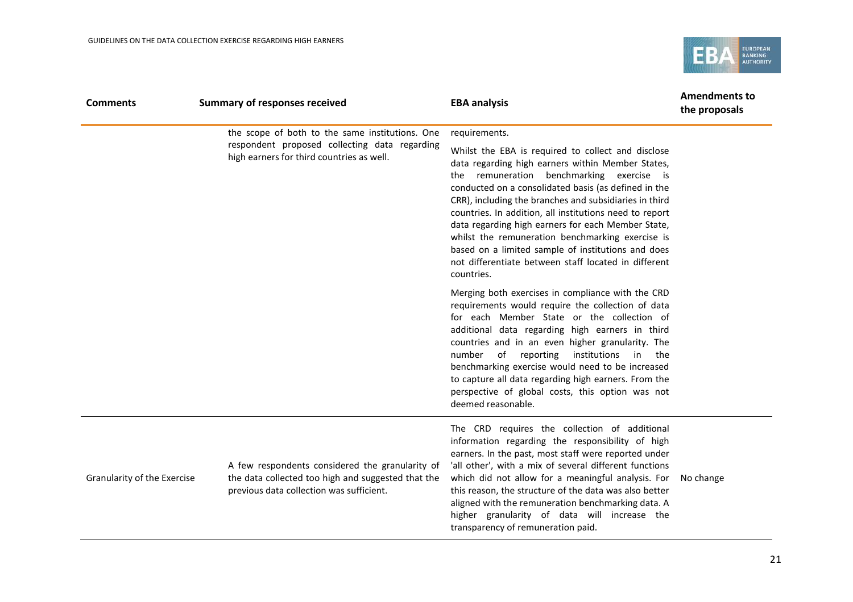

| <b>Comments</b>             | <b>Summary of responses received</b>                                                                                                              | <b>EBA analysis</b>                                                                                                                                                                                                                                                                                                                                                                                                                                                                                                                                                     | <b>Amendments to</b><br>the proposals |
|-----------------------------|---------------------------------------------------------------------------------------------------------------------------------------------------|-------------------------------------------------------------------------------------------------------------------------------------------------------------------------------------------------------------------------------------------------------------------------------------------------------------------------------------------------------------------------------------------------------------------------------------------------------------------------------------------------------------------------------------------------------------------------|---------------------------------------|
|                             | the scope of both to the same institutions. One                                                                                                   | requirements.                                                                                                                                                                                                                                                                                                                                                                                                                                                                                                                                                           |                                       |
|                             | respondent proposed collecting data regarding<br>high earners for third countries as well.                                                        | Whilst the EBA is required to collect and disclose<br>data regarding high earners within Member States,<br>the remuneration benchmarking exercise is<br>conducted on a consolidated basis (as defined in the<br>CRR), including the branches and subsidiaries in third<br>countries. In addition, all institutions need to report<br>data regarding high earners for each Member State,<br>whilst the remuneration benchmarking exercise is<br>based on a limited sample of institutions and does<br>not differentiate between staff located in different<br>countries. |                                       |
|                             |                                                                                                                                                   | Merging both exercises in compliance with the CRD<br>requirements would require the collection of data<br>for each Member State or the collection of<br>additional data regarding high earners in third<br>countries and in an even higher granularity. The<br>reporting<br>institutions<br>number<br>of<br>in the<br>benchmarking exercise would need to be increased<br>to capture all data regarding high earners. From the<br>perspective of global costs, this option was not<br>deemed reasonable.                                                                |                                       |
| Granularity of the Exercise | A few respondents considered the granularity of<br>the data collected too high and suggested that the<br>previous data collection was sufficient. | The CRD requires the collection of additional<br>information regarding the responsibility of high<br>earners. In the past, most staff were reported under<br>'all other', with a mix of several different functions<br>which did not allow for a meaningful analysis. For<br>this reason, the structure of the data was also better<br>aligned with the remuneration benchmarking data. A<br>higher granularity of data will increase the<br>transparency of remuneration paid.                                                                                         | No change                             |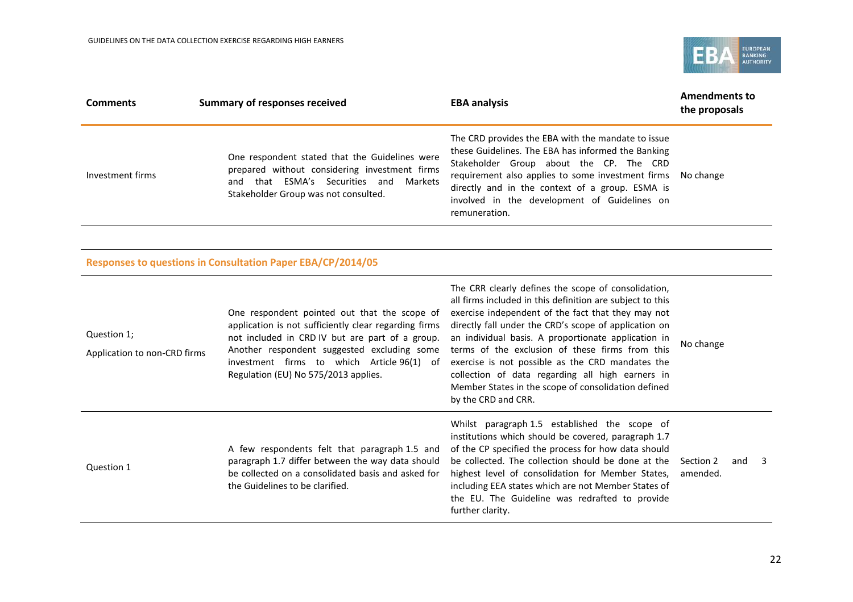

| <b>Comments</b>                             | <b>Summary of responses received</b>                                                                                                                                                                                                                                                          | <b>EBA analysis</b>                                                                                                                                                                                                                                                                                                                                                                                                                                                                                                             | <b>Amendments to</b><br>the proposals |
|---------------------------------------------|-----------------------------------------------------------------------------------------------------------------------------------------------------------------------------------------------------------------------------------------------------------------------------------------------|---------------------------------------------------------------------------------------------------------------------------------------------------------------------------------------------------------------------------------------------------------------------------------------------------------------------------------------------------------------------------------------------------------------------------------------------------------------------------------------------------------------------------------|---------------------------------------|
| Investment firms                            | One respondent stated that the Guidelines were<br>prepared without considering investment firms<br>and that ESMA's Securities and<br>Markets<br>Stakeholder Group was not consulted.                                                                                                          | The CRD provides the EBA with the mandate to issue<br>these Guidelines. The EBA has informed the Banking<br>Stakeholder Group about the CP. The CRD<br>requirement also applies to some investment firms<br>directly and in the context of a group. ESMA is<br>involved in the development of Guidelines on<br>remuneration.                                                                                                                                                                                                    | No change                             |
|                                             |                                                                                                                                                                                                                                                                                               |                                                                                                                                                                                                                                                                                                                                                                                                                                                                                                                                 |                                       |
|                                             | Responses to questions in Consultation Paper EBA/CP/2014/05                                                                                                                                                                                                                                   |                                                                                                                                                                                                                                                                                                                                                                                                                                                                                                                                 |                                       |
| Question 1;<br>Application to non-CRD firms | One respondent pointed out that the scope of<br>application is not sufficiently clear regarding firms<br>not included in CRD IV but are part of a group.<br>Another respondent suggested excluding some<br>investment firms to which Article 96(1) of<br>Regulation (EU) No 575/2013 applies. | The CRR clearly defines the scope of consolidation,<br>all firms included in this definition are subject to this<br>exercise independent of the fact that they may not<br>directly fall under the CRD's scope of application on<br>an individual basis. A proportionate application in<br>terms of the exclusion of these firms from this<br>exercise is not possible as the CRD mandates the<br>collection of data regarding all high earners in<br>Member States in the scope of consolidation defined<br>by the CRD and CRR. | No change                             |
| Question 1                                  | A few respondents felt that paragraph 1.5 and<br>paragraph 1.7 differ between the way data should<br>be collected on a consolidated basis and asked for<br>the Guidelines to be clarified.                                                                                                    | Whilst paragraph 1.5 established the scope of<br>institutions which should be covered, paragraph 1.7<br>of the CP specified the process for how data should<br>be collected. The collection should be done at the<br>highest level of consolidation for Member States,<br>including EEA states which are not Member States of<br>the EU. The Guideline was redrafted to provide                                                                                                                                                 | Section 2<br>and<br>3<br>amended.     |

further clarity.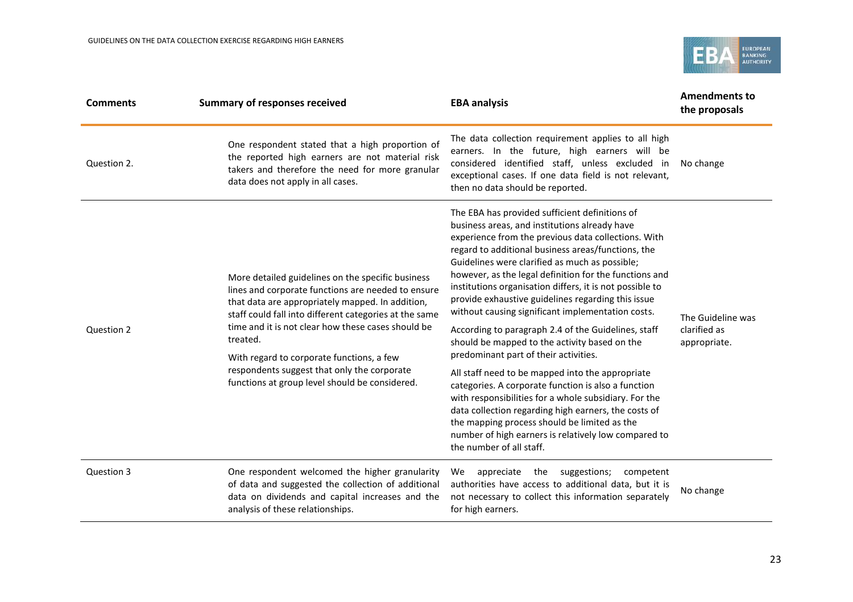

| <b>Comments</b> | <b>Summary of responses received</b>                                                                                                                                                                                                                                                                                                                                                                                                  | <b>EBA analysis</b>                                                                                                                                                                                                                                                                                                                                                                                                                                                                                                                                                                                                                                                                                                                                                                                                                                                                                                                                                                                              | <b>Amendments to</b><br>the proposals             |
|-----------------|---------------------------------------------------------------------------------------------------------------------------------------------------------------------------------------------------------------------------------------------------------------------------------------------------------------------------------------------------------------------------------------------------------------------------------------|------------------------------------------------------------------------------------------------------------------------------------------------------------------------------------------------------------------------------------------------------------------------------------------------------------------------------------------------------------------------------------------------------------------------------------------------------------------------------------------------------------------------------------------------------------------------------------------------------------------------------------------------------------------------------------------------------------------------------------------------------------------------------------------------------------------------------------------------------------------------------------------------------------------------------------------------------------------------------------------------------------------|---------------------------------------------------|
| Question 2.     | One respondent stated that a high proportion of<br>the reported high earners are not material risk<br>takers and therefore the need for more granular<br>data does not apply in all cases.                                                                                                                                                                                                                                            | The data collection requirement applies to all high<br>earners. In the future, high earners will be<br>considered identified staff, unless excluded in<br>exceptional cases. If one data field is not relevant,<br>then no data should be reported.                                                                                                                                                                                                                                                                                                                                                                                                                                                                                                                                                                                                                                                                                                                                                              | No change                                         |
| Question 2      | More detailed guidelines on the specific business<br>lines and corporate functions are needed to ensure<br>that data are appropriately mapped. In addition,<br>staff could fall into different categories at the same<br>time and it is not clear how these cases should be<br>treated.<br>With regard to corporate functions, a few<br>respondents suggest that only the corporate<br>functions at group level should be considered. | The EBA has provided sufficient definitions of<br>business areas, and institutions already have<br>experience from the previous data collections. With<br>regard to additional business areas/functions, the<br>Guidelines were clarified as much as possible;<br>however, as the legal definition for the functions and<br>institutions organisation differs, it is not possible to<br>provide exhaustive guidelines regarding this issue<br>without causing significant implementation costs.<br>According to paragraph 2.4 of the Guidelines, staff<br>should be mapped to the activity based on the<br>predominant part of their activities.<br>All staff need to be mapped into the appropriate<br>categories. A corporate function is also a function<br>with responsibilities for a whole subsidiary. For the<br>data collection regarding high earners, the costs of<br>the mapping process should be limited as the<br>number of high earners is relatively low compared to<br>the number of all staff. | The Guideline was<br>clarified as<br>appropriate. |
| Question 3      | One respondent welcomed the higher granularity<br>of data and suggested the collection of additional<br>data on dividends and capital increases and the<br>analysis of these relationships.                                                                                                                                                                                                                                           | suggestions;<br>appreciate<br>the<br>We<br>competent<br>authorities have access to additional data, but it is<br>not necessary to collect this information separately<br>for high earners.                                                                                                                                                                                                                                                                                                                                                                                                                                                                                                                                                                                                                                                                                                                                                                                                                       | No change                                         |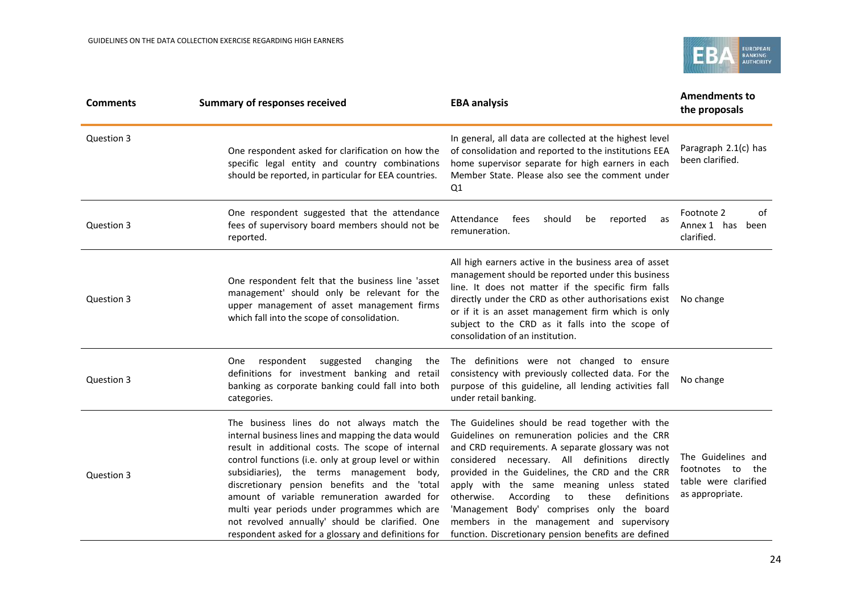

| <b>Comments</b> | <b>Summary of responses received</b>                                                                                                                                                                                                                                                                                                                                                                                                                                                                                   | <b>EBA analysis</b>                                                                                                                                                                                                                                                                                                                                                                                                                                                                                                   | <b>Amendments to</b><br>the proposals                                                |
|-----------------|------------------------------------------------------------------------------------------------------------------------------------------------------------------------------------------------------------------------------------------------------------------------------------------------------------------------------------------------------------------------------------------------------------------------------------------------------------------------------------------------------------------------|-----------------------------------------------------------------------------------------------------------------------------------------------------------------------------------------------------------------------------------------------------------------------------------------------------------------------------------------------------------------------------------------------------------------------------------------------------------------------------------------------------------------------|--------------------------------------------------------------------------------------|
| Question 3      | One respondent asked for clarification on how the<br>specific legal entity and country combinations<br>should be reported, in particular for EEA countries.                                                                                                                                                                                                                                                                                                                                                            | In general, all data are collected at the highest level<br>of consolidation and reported to the institutions EEA<br>home supervisor separate for high earners in each<br>Member State. Please also see the comment under<br>Q1                                                                                                                                                                                                                                                                                        | Paragraph 2.1(c) has<br>been clarified.                                              |
| Question 3      | One respondent suggested that the attendance<br>fees of supervisory board members should not be<br>reported.                                                                                                                                                                                                                                                                                                                                                                                                           | Attendance<br>fees<br>should<br>reported<br>be<br>as<br>remuneration.                                                                                                                                                                                                                                                                                                                                                                                                                                                 | Footnote 2<br>of<br>Annex 1 has<br>been<br>clarified.                                |
| Question 3      | One respondent felt that the business line 'asset<br>management' should only be relevant for the<br>upper management of asset management firms<br>which fall into the scope of consolidation.                                                                                                                                                                                                                                                                                                                          | All high earners active in the business area of asset<br>management should be reported under this business<br>line. It does not matter if the specific firm falls<br>directly under the CRD as other authorisations exist<br>or if it is an asset management firm which is only<br>subject to the CRD as it falls into the scope of<br>consolidation of an institution.                                                                                                                                               | No change                                                                            |
| Question 3      | respondent<br>suggested<br>changing<br>One<br>the<br>definitions for investment banking and retail<br>banking as corporate banking could fall into both<br>categories.                                                                                                                                                                                                                                                                                                                                                 | The definitions were not changed to ensure<br>consistency with previously collected data. For the<br>purpose of this guideline, all lending activities fall<br>under retail banking.                                                                                                                                                                                                                                                                                                                                  | No change                                                                            |
| Question 3      | The business lines do not always match the<br>internal business lines and mapping the data would<br>result in additional costs. The scope of internal<br>control functions (i.e. only at group level or within<br>subsidiaries), the terms management body,<br>discretionary pension benefits and the 'total<br>amount of variable remuneration awarded for<br>multi year periods under programmes which are<br>not revolved annually' should be clarified. One<br>respondent asked for a glossary and definitions for | The Guidelines should be read together with the<br>Guidelines on remuneration policies and the CRR<br>and CRD requirements. A separate glossary was not<br>considered necessary. All definitions directly<br>provided in the Guidelines, the CRD and the CRR<br>apply with the same meaning unless stated<br>otherwise.<br>According<br>these<br>definitions<br>to<br>'Management Body' comprises only the board<br>members in the management and supervisory<br>function. Discretionary pension benefits are defined | The Guidelines and<br>footnotes to<br>the<br>table were clarified<br>as appropriate. |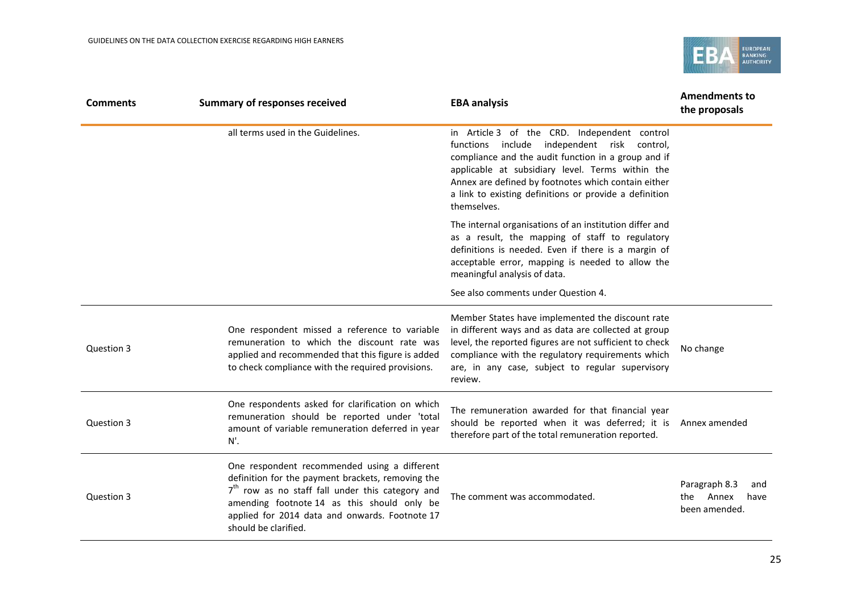

| <b>Comments</b> | <b>Summary of responses received</b>                                                                                                                                                                                                                                             | <b>EBA analysis</b>                                                                                                                                                                                                                                                                                                                    | <b>Amendments to</b><br>the proposals                         |
|-----------------|----------------------------------------------------------------------------------------------------------------------------------------------------------------------------------------------------------------------------------------------------------------------------------|----------------------------------------------------------------------------------------------------------------------------------------------------------------------------------------------------------------------------------------------------------------------------------------------------------------------------------------|---------------------------------------------------------------|
|                 | all terms used in the Guidelines.                                                                                                                                                                                                                                                | in Article 3 of the CRD. Independent control<br>functions include independent risk control,<br>compliance and the audit function in a group and if<br>applicable at subsidiary level. Terms within the<br>Annex are defined by footnotes which contain either<br>a link to existing definitions or provide a definition<br>themselves. |                                                               |
|                 |                                                                                                                                                                                                                                                                                  | The internal organisations of an institution differ and<br>as a result, the mapping of staff to regulatory<br>definitions is needed. Even if there is a margin of<br>acceptable error, mapping is needed to allow the<br>meaningful analysis of data.<br>See also comments under Question 4.                                           |                                                               |
| Question 3      | One respondent missed a reference to variable<br>remuneration to which the discount rate was<br>applied and recommended that this figure is added<br>to check compliance with the required provisions.                                                                           | Member States have implemented the discount rate<br>in different ways and as data are collected at group<br>level, the reported figures are not sufficient to check<br>compliance with the regulatory requirements which<br>are, in any case, subject to regular supervisory<br>review.                                                | No change                                                     |
| Question 3      | One respondents asked for clarification on which<br>remuneration should be reported under 'total<br>amount of variable remuneration deferred in year<br>N'.                                                                                                                      | The remuneration awarded for that financial year<br>should be reported when it was deferred; it is<br>therefore part of the total remuneration reported.                                                                                                                                                                               | Annex amended                                                 |
| Question 3      | One respondent recommended using a different<br>definition for the payment brackets, removing the<br>$7th$ row as no staff fall under this category and<br>amending footnote 14 as this should only be<br>applied for 2014 data and onwards. Footnote 17<br>should be clarified. | The comment was accommodated.                                                                                                                                                                                                                                                                                                          | Paragraph 8.3<br>and<br>Annex<br>have<br>the<br>been amended. |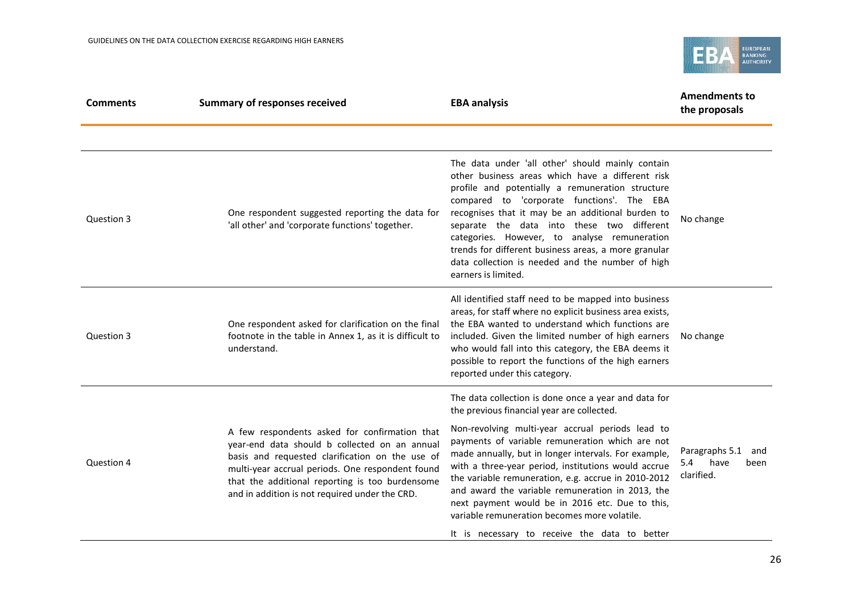

| <b>Comments</b> | <b>Summary of responses received</b>                                                                                                                                                                                                                                                                       | <b>EBA analysis</b>                                                                                                                                                                                                                                                                                                                                                                                                                                                                          | <b>Amendments to</b><br>the proposals                      |  |
|-----------------|------------------------------------------------------------------------------------------------------------------------------------------------------------------------------------------------------------------------------------------------------------------------------------------------------------|----------------------------------------------------------------------------------------------------------------------------------------------------------------------------------------------------------------------------------------------------------------------------------------------------------------------------------------------------------------------------------------------------------------------------------------------------------------------------------------------|------------------------------------------------------------|--|
|                 |                                                                                                                                                                                                                                                                                                            |                                                                                                                                                                                                                                                                                                                                                                                                                                                                                              |                                                            |  |
| Question 3      | One respondent suggested reporting the data for<br>'all other' and 'corporate functions' together.                                                                                                                                                                                                         | The data under 'all other' should mainly contain<br>other business areas which have a different risk<br>profile and potentially a remuneration structure<br>compared to 'corporate functions'. The EBA<br>recognises that it may be an additional burden to<br>separate the data into these two different<br>categories. However, to analyse remuneration<br>trends for different business areas, a more granular<br>data collection is needed and the number of high<br>earners is limited. | No change                                                  |  |
| Question 3      | One respondent asked for clarification on the final<br>footnote in the table in Annex 1, as it is difficult to<br>understand.                                                                                                                                                                              | All identified staff need to be mapped into business<br>areas, for staff where no explicit business area exists,<br>the EBA wanted to understand which functions are<br>included. Given the limited number of high earners<br>who would fall into this category, the EBA deems it<br>possible to report the functions of the high earners<br>reported under this category.                                                                                                                   | No change                                                  |  |
|                 |                                                                                                                                                                                                                                                                                                            | The data collection is done once a year and data for<br>the previous financial year are collected.                                                                                                                                                                                                                                                                                                                                                                                           |                                                            |  |
| Question 4      | A few respondents asked for confirmation that<br>year-end data should b collected on an annual<br>basis and requested clarification on the use of<br>multi-year accrual periods. One respondent found<br>that the additional reporting is too burdensome<br>and in addition is not required under the CRD. | Non-revolving multi-year accrual periods lead to<br>payments of variable remuneration which are not<br>made annually, but in longer intervals. For example,<br>with a three-year period, institutions would accrue<br>the variable remuneration, e.g. accrue in 2010-2012<br>and award the variable remuneration in 2013, the<br>next payment would be in 2016 etc. Due to this,<br>variable remuneration becomes more volatile.                                                             | Paragraphs 5.1<br>and<br>have<br>5.4<br>been<br>clarified. |  |
|                 |                                                                                                                                                                                                                                                                                                            | It is necessary to receive the data to better                                                                                                                                                                                                                                                                                                                                                                                                                                                |                                                            |  |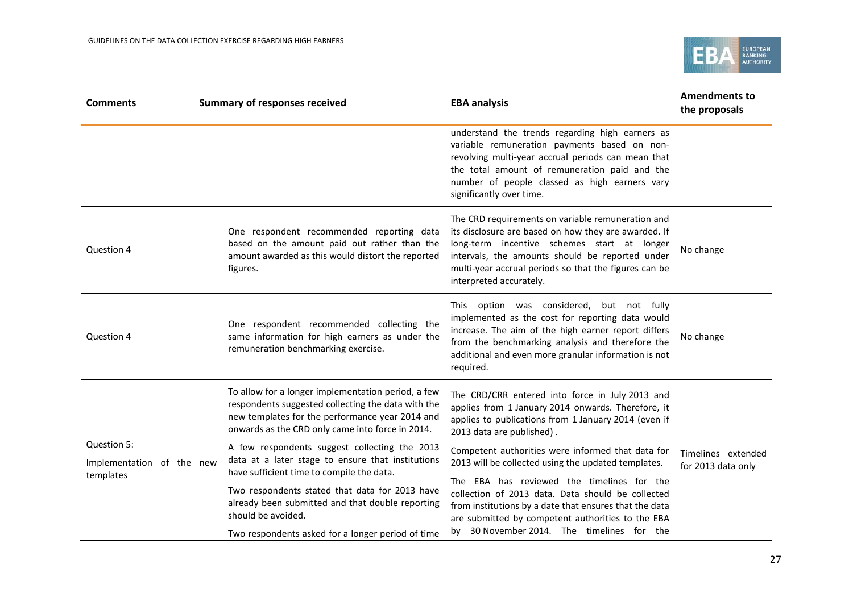

| <b>Comments</b>                                       | <b>Summary of responses received</b>                                                                                                                                                                            | <b>EBA analysis</b>                                                                                                                                                                                                                                                                             | <b>Amendments to</b><br>the proposals    |  |
|-------------------------------------------------------|-----------------------------------------------------------------------------------------------------------------------------------------------------------------------------------------------------------------|-------------------------------------------------------------------------------------------------------------------------------------------------------------------------------------------------------------------------------------------------------------------------------------------------|------------------------------------------|--|
|                                                       |                                                                                                                                                                                                                 | understand the trends regarding high earners as<br>variable remuneration payments based on non-<br>revolving multi-year accrual periods can mean that<br>the total amount of remuneration paid and the<br>number of people classed as high earners vary<br>significantly over time.             |                                          |  |
| Question 4                                            | One respondent recommended reporting data<br>based on the amount paid out rather than the<br>amount awarded as this would distort the reported<br>figures.                                                      | The CRD requirements on variable remuneration and<br>its disclosure are based on how they are awarded. If<br>long-term incentive schemes start at longer<br>intervals, the amounts should be reported under<br>multi-year accrual periods so that the figures can be<br>interpreted accurately. | No change                                |  |
| Question 4                                            | One respondent recommended collecting the<br>same information for high earners as under the<br>remuneration benchmarking exercise.                                                                              | This option was considered, but not fully<br>implemented as the cost for reporting data would<br>increase. The aim of the high earner report differs<br>from the benchmarking analysis and therefore the<br>additional and even more granular information is not<br>required.                   | No change                                |  |
|                                                       | To allow for a longer implementation period, a few<br>respondents suggested collecting the data with the<br>new templates for the performance year 2014 and<br>onwards as the CRD only came into force in 2014. | The CRD/CRR entered into force in July 2013 and<br>applies from 1 January 2014 onwards. Therefore, it<br>applies to publications from 1 January 2014 (even if<br>2013 data are published).                                                                                                      |                                          |  |
| Question 5:<br>Implementation of the new<br>templates | A few respondents suggest collecting the 2013<br>data at a later stage to ensure that institutions<br>have sufficient time to compile the data.                                                                 | Competent authorities were informed that data for<br>2013 will be collected using the updated templates.                                                                                                                                                                                        | Timelines extended<br>for 2013 data only |  |
|                                                       | Two respondents stated that data for 2013 have<br>already been submitted and that double reporting<br>should be avoided.<br>Two respondents asked for a longer period of time                                   | The EBA has reviewed the timelines for the<br>collection of 2013 data. Data should be collected<br>from institutions by a date that ensures that the data<br>are submitted by competent authorities to the EBA<br>by 30 November 2014. The timelines for the                                    |                                          |  |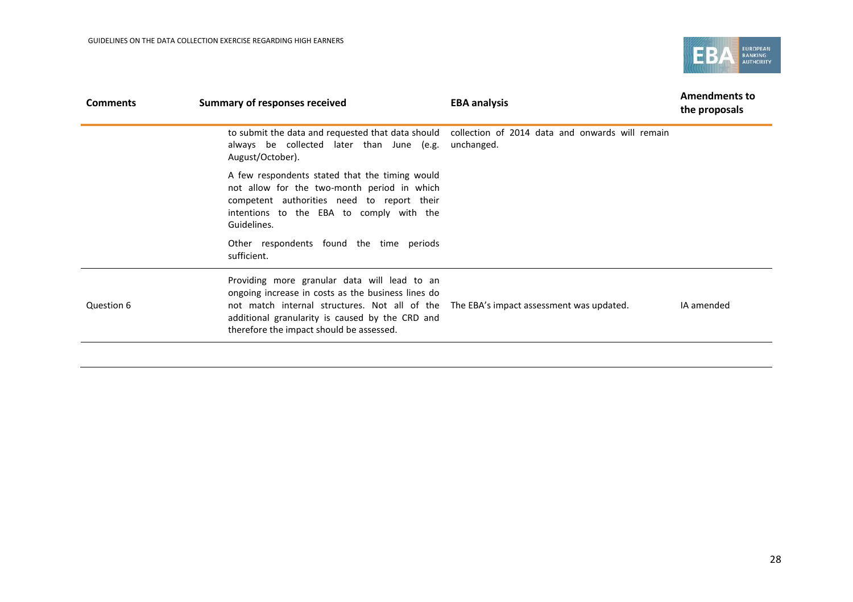

| <b>Comments</b> | Summary of responses received                                                                                                                                                                                                                      | <b>EBA analysis</b>                                                                                             | <b>Amendments to</b><br>the proposals |
|-----------------|----------------------------------------------------------------------------------------------------------------------------------------------------------------------------------------------------------------------------------------------------|-----------------------------------------------------------------------------------------------------------------|---------------------------------------|
|                 | always be collected later than June (e.g.<br>August/October).                                                                                                                                                                                      | to submit the data and requested that data should collection of 2014 data and onwards will remain<br>unchanged. |                                       |
|                 | A few respondents stated that the timing would<br>not allow for the two-month period in which<br>competent authorities need to report their<br>intentions to the EBA to comply with the<br>Guidelines.                                             |                                                                                                                 |                                       |
|                 | Other respondents found the time periods<br>sufficient.                                                                                                                                                                                            |                                                                                                                 |                                       |
| Question 6      | Providing more granular data will lead to an<br>ongoing increase in costs as the business lines do<br>not match internal structures. Not all of the<br>additional granularity is caused by the CRD and<br>therefore the impact should be assessed. | The EBA's impact assessment was updated.                                                                        | IA amended                            |
|                 |                                                                                                                                                                                                                                                    |                                                                                                                 |                                       |